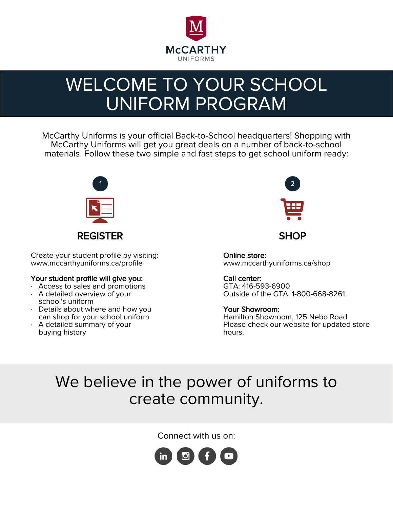

# WELCOME TO YOUR SCHOOL UNIFORM PROGRAM

McCarthy Uniforms is your official Back-to-School headquarters! Shopping with McCarthy Uniforms will get you great deals on a number of back-to-school materials. Follow these two simple and fast steps to get school uniform ready:



Create your student profile by visiting: www.mccarthyuniforms.ca/profile

### Your student profile will give you:

- · Access to sales and promotions
- · A detailed overview of your school's uniform
- · Details about where and how you can shop for your school uniform
- · A detailed summary of your buying history



Online store: www.mccarthyuniforms.ca/shop

Call center: GTA: 416-593-6900 Outside of the GTA: 1-800-668-8261

#### Your Showroom: Hamilton Showroom, 125 Nebo Road

Please check our website for updated store hours.

## We believe in the power of uniforms to create community.

Connect with us on:

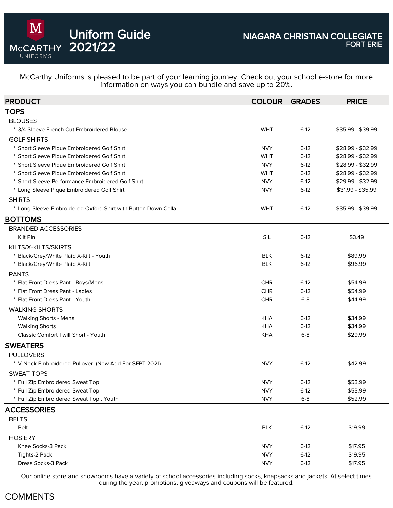

Uniform Guide

2021/22

McCarthy Uniforms is pleased to be part of your learning journey. Check out your school e-store for more information on ways you can bundle and save up to 20%.

| <b>PRODUCT</b>                                                 | <b>COLOUR</b> | <b>GRADES</b> | <b>PRICE</b>      |
|----------------------------------------------------------------|---------------|---------------|-------------------|
| TOPS                                                           |               |               |                   |
| <b>BLOUSES</b>                                                 |               |               |                   |
| * 3/4 Sleeve French Cut Embroidered Blouse                     | <b>WHT</b>    | $6-12$        | \$35.99 - \$39.99 |
| <b>GOLF SHIRTS</b>                                             |               |               |                   |
| * Short Sleeve Pique Embroidered Golf Shirt                    | <b>NVY</b>    | $6-12$        | $$28.99 - $32.99$ |
| * Short Sleeve Pique Embroidered Golf Shirt                    | <b>WHT</b>    | $6-12$        | \$28.99 - \$32.99 |
| * Short Sleeve Pique Embroidered Golf Shirt                    | <b>NVY</b>    | $6-12$        | \$28.99 - \$32.99 |
| * Short Sleeve Pique Embroidered Golf Shirt                    | <b>WHT</b>    | $6-12$        | $$28.99 - $32.99$ |
| * Short Sleeve Performance Embroidered Golf Shirt              | <b>NVY</b>    | $6-12$        | \$29.99 - \$32.99 |
| * Long Sleeve Pique Embroidered Golf Shirt                     | <b>NVY</b>    | $6-12$        | \$31.99 - \$35.99 |
| <b>SHIRTS</b>                                                  |               |               |                   |
| * Long Sleeve Embroidered Oxford Shirt with Button Down Collar | <b>WHT</b>    | $6-12$        | \$35.99 - \$39.99 |
| <b>BOTTOMS</b>                                                 |               |               |                   |
| <b>BRANDED ACCESSORIES</b>                                     |               |               |                   |
| Kilt Pin                                                       | <b>SIL</b>    | $6-12$        | \$3.49            |
| KILTS/X-KILTS/SKIRTS                                           |               |               |                   |
| * Black/Grey/White Plaid X-Kilt - Youth                        | <b>BLK</b>    | $6-12$        | \$89.99           |
| * Black/Grey/White Plaid X-Kilt                                | <b>BLK</b>    | $6-12$        | \$96.99           |
| <b>PANTS</b>                                                   |               |               |                   |
| * Flat Front Dress Pant - Boys/Mens                            | <b>CHR</b>    | $6-12$        | \$54.99           |
| * Flat Front Dress Pant - Ladies                               | <b>CHR</b>    | $6-12$        | \$54.99           |
| * Flat Front Dress Pant - Youth                                | <b>CHR</b>    | $6 - 8$       | \$44.99           |
| <b>WALKING SHORTS</b>                                          |               |               |                   |
| <b>Walking Shorts - Mens</b>                                   | <b>KHA</b>    | $6-12$        | \$34.99           |
| <b>Walking Shorts</b>                                          | <b>KHA</b>    | $6-12$        | \$34.99           |
| Classic Comfort Twill Short - Youth                            | <b>KHA</b>    | $6 - 8$       | \$29.99           |
| SWEATERS                                                       |               |               |                   |
| <b>PULLOVERS</b>                                               |               |               |                   |
| * V-Neck Embroidered Pullover (New Add For SEPT 2021)          | <b>NVY</b>    | $6-12$        | \$42.99           |
| <b>SWEAT TOPS</b>                                              |               |               |                   |
| * Full Zip Embroidered Sweat Top                               | <b>NVY</b>    | $6-12$        | \$53.99           |
| * Full Zip Embroidered Sweat Top                               | <b>NVY</b>    | $6-12$        | \$53.99           |
| * Full Zip Embroidered Sweat Top, Youth                        | <b>NVY</b>    | $6 - 8$       | \$52.99           |
| <b>ACCESSORIES</b>                                             |               |               |                   |
| <b>BELTS</b>                                                   |               |               |                   |
| Belt                                                           | <b>BLK</b>    | $6-12$        | \$19.99           |
| <b>HOSIERY</b>                                                 |               |               |                   |
| Knee Socks-3 Pack                                              | <b>NVY</b>    | $6-12$        | \$17.95           |
| Tights-2 Pack                                                  | <b>NVY</b>    | $6-12$        | \$19.95           |
| Dress Socks-3 Pack                                             | <b>NVY</b>    | $6-12$        | \$17.95           |
|                                                                |               |               |                   |

Our online store and showrooms have a variety of school accessories including socks, knapsacks and jackets. At select times during the year, promotions, giveaways and coupons will be featured.

## COMMENTS